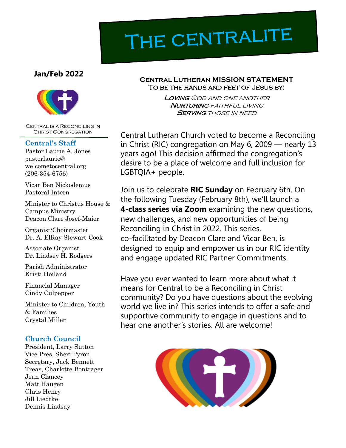# THE CENTRALITE

### **Jan/Feb 2022**



Central is a Reconciling in Christ Congregation

#### **Central's Staff**

Pastor Laurie A. Jones pastorlaurie@ welcometocentral.org (206-354-6756)

Vicar Ben Nickodemus Pastoral Intern

Minister to Christus House & Campus Ministry Deacon Clare Josef-Maier

Organist/Choirmaster Dr. A. ElRay Stewart-Cook

Associate Organist Dr. Lindsey H. Rodgers

Parish Administrator Kristi Hoiland

Financial Manager Cindy Culpepper

Minister to Children, Youth & Families Crystal Miller

### **Church Council**

President, Larry Sutton Vice Pres, Sheri Pyron Secretary, Jack Bennett Treas, Charlotte Bontrager Jean Clancey Matt Haugen Chris Henry Jill Liedtke Dennis Lindsay

#### **Central Lutheran MISSION STATEMENT** To be the hands and feet of Jesus by:

Loving God and one another **NURTURING** FAITHFUL LIVING **SERVING THOSE IN NEED** 

Central Lutheran Church voted to become a Reconciling in Christ (RIC) congregation on May 6, 2009 — nearly 13 years ago! This decision affirmed the congregation's desire to be a place of welcome and full inclusion for LGBTQIA+ people.

Join us to celebrate **RIC Sunday** on February 6th. On the following Tuesday (February 8th), we'll launch a **4-class series via Zoom** examining the new questions, new challenges, and new opportunities of being Reconciling in Christ in 2022. This series, co-facilitated by Deacon Clare and Vicar Ben, is designed to equip and empower us in our RIC identity and engage updated RIC Partner Commitments.

Have you ever wanted to learn more about what it means for Central to be a Reconciling in Christ community? Do you have questions about the evolving world we live in? This series intends to offer a safe and supportive community to engage in questions and to hear one another's stories. All are welcome!

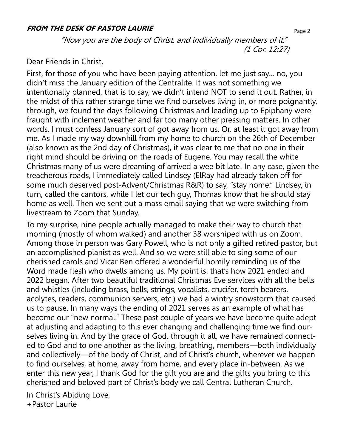#### **FROM THE DESK OF PASTOR LAURIE**

"Now you are the body of Christ, and individually members of it." (1 Cor. 12:27)

## Dear Friends in Christ,

First, for those of you who have been paying attention, let me just say… no, you didn't miss the January edition of the Centralite. It was not something we intentionally planned, that is to say, we didn't intend NOT to send it out. Rather, in the midst of this rather strange time we find ourselves living in, or more poignantly, through, we found the days following Christmas and leading up to Epiphany were fraught with inclement weather and far too many other pressing matters. In other words, I must confess January sort of got away from us. Or, at least it got away from me. As I made my way downhill from my home to church on the 26th of December (also known as the 2nd day of Christmas), it was clear to me that no one in their right mind should be driving on the roads of Eugene. You may recall the white Christmas many of us were dreaming of arrived a wee bit late! In any case, given the treacherous roads, I immediately called Lindsey (ElRay had already taken off for some much deserved post-Advent/Christmas R&R) to say, "stay home." Lindsey, in turn, called the cantors, while I let our tech guy, Thomas know that he should stay home as well. Then we sent out a mass email saying that we were switching from livestream to Zoom that Sunday.

To my surprise, nine people actually managed to make their way to church that morning (mostly of whom walked) and another 38 worshiped with us on Zoom. Among those in person was Gary Powell, who is not only a gifted retired pastor, but an accomplished pianist as well. And so we were still able to sing some of our cherished carols and Vicar Ben offered a wonderful homily reminding us of the Word made flesh who dwells among us. My point is: that's how 2021 ended and 2022 began. After two beautiful traditional Christmas Eve services with all the bells and whistles (including brass, bells, strings, vocalists, crucifer, torch bearers, acolytes, readers, communion servers, etc.) we had a wintry snowstorm that caused us to pause. In many ways the ending of 2021 serves as an example of what has become our "new normal." These past couple of years we have become quite adept at adjusting and adapting to this ever changing and challenging time we find ourselves living in. And by the grace of God, through it all, we have remained connected to God and to one another as the living, breathing, members—both individually and collectively—of the body of Christ, and of Christ's church, wherever we happen to find ourselves, at home, away from home, and every place in-between. As we enter this new year, I thank God for the gift you are and the gifts you bring to this cherished and beloved part of Christ's body we call Central Lutheran Church.

In Christ's Abiding Love, +Pastor Laurie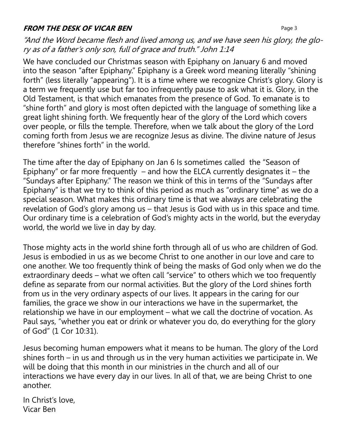## **FROM THE DESK OF VICAR BEN Page 3**

"And the Word became flesh and lived among us, and we have seen his glory, the glory as of a father's only son, full of grace and truth." John 1:14

We have concluded our Christmas season with Epiphany on January 6 and moved into the season "after Epiphany." Epiphany is a Greek word meaning literally "shining forth" (less literally "appearing"). It is a time where we recognize Christ's glory. Glory is a term we frequently use but far too infrequently pause to ask what it is. Glory, in the Old Testament, is that which emanates from the presence of God. To emanate is to "shine forth" and glory is most often depicted with the language of something like a great light shining forth. We frequently hear of the glory of the Lord which covers over people, or fills the temple. Therefore, when we talk about the glory of the Lord coming forth from Jesus we are recognize Jesus as divine. The divine nature of Jesus therefore "shines forth" in the world.

The time after the day of Epiphany on Jan 6 Is sometimes called the "Season of Epiphany" or far more frequently  $-$  and how the ELCA currently designates it  $-$  the "Sundays after Epiphany." The reason we think of this in terms of the "Sundays after Epiphany" is that we try to think of this period as much as "ordinary time" as we do a special season. What makes this ordinary time is that we always are celebrating the revelation of God's glory among us – that Jesus is God with us in this space and time. Our ordinary time is a celebration of God's mighty acts in the world, but the everyday world, the world we live in day by day.

Those mighty acts in the world shine forth through all of us who are children of God. Jesus is embodied in us as we become Christ to one another in our love and care to one another. We too frequently think of being the masks of God only when we do the extraordinary deeds – what we often call "service" to others which we too frequently define as separate from our normal activities. But the glory of the Lord shines forth from us in the very ordinary aspects of our lives. It appears in the caring for our families, the grace we show in our interactions we have in the supermarket, the relationship we have in our employment – what we call the doctrine of vocation. As Paul says, "whether you eat or drink or whatever you do, do everything for the glory of God" (1 Cor 10:31).

Jesus becoming human empowers what it means to be human. The glory of the Lord shines forth – in us and through us in the very human activities we participate in. We will be doing that this month in our ministries in the church and all of our interactions we have every day in our lives. In all of that, we are being Christ to one another.

In Christ's love, Vicar Ben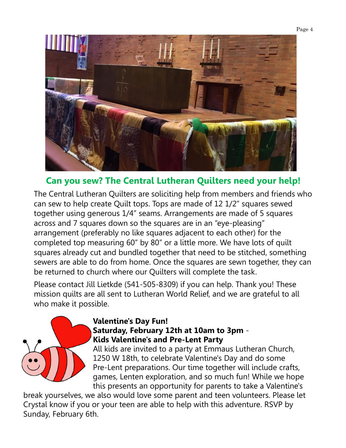

## **Can you sew? The Central Lutheran Quilters need your help!**

The Central Lutheran Quilters are soliciting help from members and friends who can sew to help create Quilt tops. Tops are made of 12 1/2" squares sewed together using generous 1/4" seams. Arrangements are made of 5 squares across and 7 squares down so the squares are in an "eye-pleasing" arrangement (preferably no like squares adjacent to each other) for the completed top measuring 60" by 80" or a little more. We have lots of quilt squares already cut and bundled together that need to be stitched, something sewers are able to do from home. Once the squares are sewn together, they can be returned to church where our Quilters will complete the task.

Please contact Jill Lietkde (541-505-8309) if you can help. Thank you! These mission quilts are all sent to Lutheran World Relief, and we are grateful to all who make it possible.



## **Valentine's Day Fun! Saturday, February 12th at 10am to 3pm** - **Kids Valentine's and Pre-Lent Party**

All kids are invited to a party at Emmaus Lutheran Church, 1250 W 18th, to celebrate Valentine's Day and do some Pre-Lent preparations. Our time together will include crafts, games, Lenten exploration, and so much fun! While we hope this presents an opportunity for parents to take a Valentine's

break yourselves, we also would love some parent and teen volunteers. Please let Crystal know if you or your teen are able to help with this adventure. RSVP by Sunday, February 6th.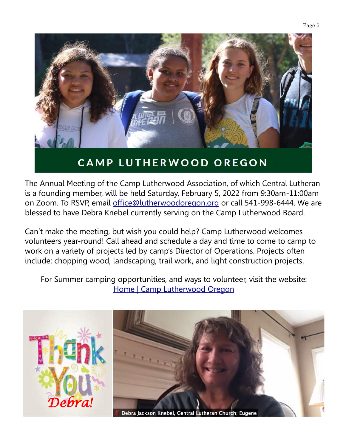



The Annual Meeting of the Camp Lutherwood Association, of which Central Lutheran is a founding member, will be held Saturday, February 5, 2022 from 9:30am-11:00am on Zoom. To RSVP, email [office@lutherwoodoregon.org](mailto:office@lutherwoodoregon.org) or call 541-998-6444. We are blessed to have Debra Knebel currently serving on the Camp Lutherwood Board.

Can't make the meeting, but wish you could help? Camp Lutherwood welcomes volunteers year-round! Call ahead and schedule a day and time to come to camp to work on a variety of projects led by camp's Director of Operations. Projects often include: chopping wood, landscaping, trail work, and light construction projects.

For Summer camping opportunities, and ways to volunteer, visit the website: [Home | Camp Lutherwood Oregon](https://www.lutherwoodoregon.org/)

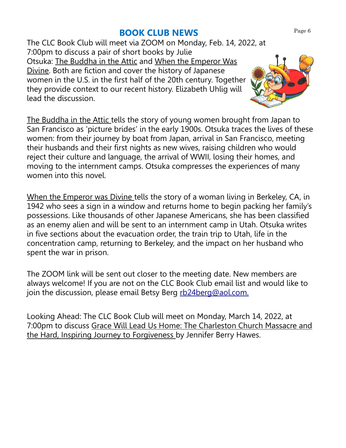## **BOOK CLUB NEWS**

The CLC Book Club will meet via ZOOM on Monday, Feb. 14, 2022, at 7:00pm to discuss a pair of short books by Julie Otsuka: The Buddha in the Attic and When the Emperor Was Divine. Both are fiction and cover the history of Japanese women in the U.S. in the first half of the 20th century. Together they provide context to our recent history. Elizabeth Uhlig will lead the discussion.

The Buddha in the Attic tells the story of young women brought from Japan to San Francisco as 'picture brides' in the early 1900s. Otsuka traces the lives of these women: from their journey by boat from Japan, arrival in San Francisco, meeting their husbands and their first nights as new wives, raising children who would reject their culture and language, the arrival of WWII, losing their homes, and moving to the internment camps. Otsuka compresses the experiences of many women into this novel.

When the Emperor was Divine tells the story of a woman living in Berkeley, CA, in 1942 who sees a sign in a window and returns home to begin packing her family's possessions. Like thousands of other Japanese Americans, she has been classified as an enemy alien and will be sent to an internment camp in Utah. Otsuka writes in five sections about the evacuation order, the train trip to Utah, life in the concentration camp, returning to Berkeley, and the impact on her husband who spent the war in prison.

The ZOOM link will be sent out closer to the meeting date. New members are always welcome! If you are not on the CLC Book Club email list and would like to join the discussion, please email Betsy Berg [rb24berg@aol.com.](mailto:rb24berg@aol.com)

Looking Ahead: The CLC Book Club will meet on Monday, March 14, 2022, at 7:00pm to discuss Grace Will Lead Us Home: The Charleston Church Massacre and the Hard, Inspiring Journey to Forgiveness by Jennifer Berry Hawes.

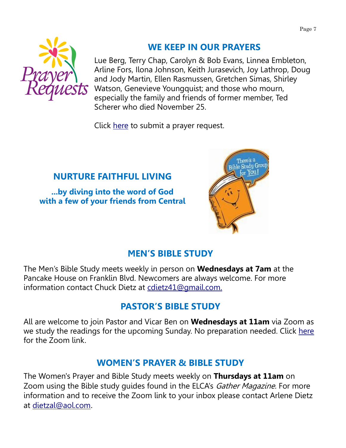

## **WE KEEP IN OUR PRAYERS**

Lue Berg, Terry Chap, Carolyn & Bob Evans, Linnea Embleton, Arline Fors, Ilona Johnson, Keith Jurasevich, Joy Lathrop, Doug and Jody Martin, Ellen Rasmussen, Gretchen Simas, Shirley Watson, Genevieve Youngquist; and those who mourn, especially the family and friends of former member, Ted Scherer who died November 25.

Click [here](mailto:prayers@welcometocentral.org?subject=Prayer%20Request) to submit a prayer request.

## **NURTURE FAITHFUL LIVING**

**...by diving into the word of God with a few of your friends from Central**



## **MEN'S BIBLE STUDY**

The Men's Bible Study meets weekly in person on **Wednesdays at 7am** at the Pancake House on Franklin Blvd. Newcomers are always welcome. For more information contact Chuck Dietz at [cdietz41@gmail.com.](mailto:cdietz41@gmail.com)

## **PASTOR'S BIBLE STUDY**

All are welcome to join Pastor and Vicar Ben on **Wednesdays at 11am** via Zoom as we study the readings for the upcoming Sunday. No preparation needed. Click [here](mailto:pastorlaurie@welcometocentral.org?subject=Send%20me%20the%20Zoom%20Link%20for%20Bible%20Study) for the Zoom link.

## **WOMEN'S PRAYER & BIBLE STUDY**

The Women's Prayer and Bible Study meets weekly on **Thursdays at 11am** on Zoom using the Bible study quides found in the ELCA's Gather Magazine. For more information and to receive the Zoom link to your inbox please contact Arlene Dietz at [dietzal@aol.com](mailto:dietzal@aol.com).